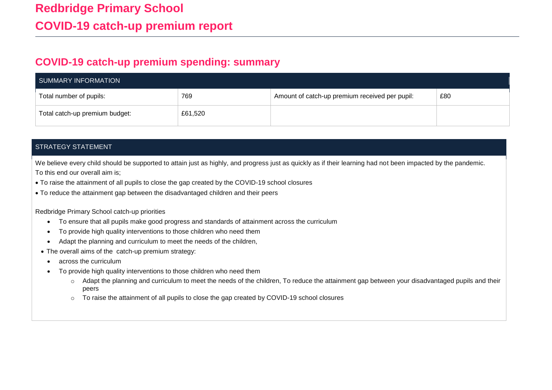## **COVID-19 catch-up premium spending: summary**

| SUMMARY INFORMATION            |         |                                                |     |  |  |
|--------------------------------|---------|------------------------------------------------|-----|--|--|
| Total number of pupils:        | 769     | Amount of catch-up premium received per pupil: | £80 |  |  |
| Total catch-up premium budget: | £61,520 |                                                |     |  |  |

## STRATEGY STATEMENT

We believe every child should be supported to attain just as highly, and progress just as quickly as if their learning had not been impacted by the pandemic. To this end our overall aim is;

- To raise the attainment of all pupils to close the gap created by the COVID-19 school closures
- To reduce the attainment gap between the disadvantaged children and their peers

Redbridge Primary School catch-up priorities

- To ensure that all pupils make good progress and standards of attainment across the curriculum
- To provide high quality interventions to those children who need them
- Adapt the planning and curriculum to meet the needs of the children,
- The overall aims of the catch-up premium strategy:
	- across the curriculum
	- To provide high quality interventions to those children who need them
		- o Adapt the planning and curriculum to meet the needs of the children, To reduce the attainment gap between your disadvantaged pupils and their peers
		- o To raise the attainment of all pupils to close the gap created by COVID-19 school closures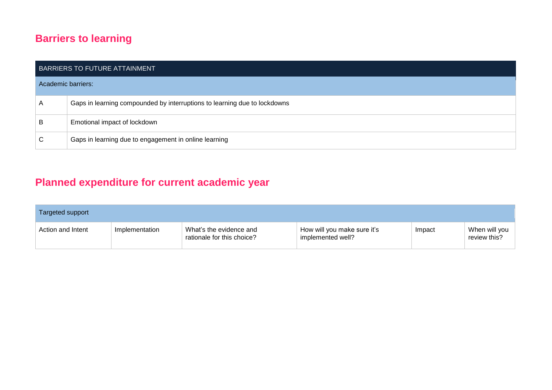## **Barriers to learning**

| BARRIERS TO FUTURE ATTAINMENT |                                                                           |  |  |  |
|-------------------------------|---------------------------------------------------------------------------|--|--|--|
| Academic barriers:            |                                                                           |  |  |  |
| A                             | Gaps in learning compounded by interruptions to learning due to lockdowns |  |  |  |
| B                             | Emotional impact of lockdown                                              |  |  |  |
| $\mathsf{C}$                  | Gaps in learning due to engagement in online learning                     |  |  |  |

## **Planned expenditure for current academic year**

| Targeted support  |                |                                                       |                                                  |        |                               |  |  |
|-------------------|----------------|-------------------------------------------------------|--------------------------------------------------|--------|-------------------------------|--|--|
| Action and Intent | Implementation | What's the evidence and<br>rationale for this choice? | How will you make sure it's<br>implemented well? | Impact | When will you<br>review this? |  |  |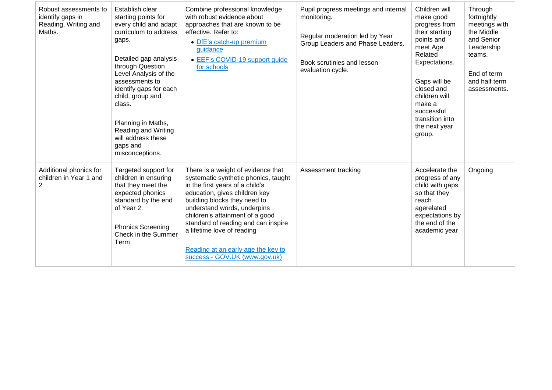| Robust assessments to<br>identify gaps in<br>Reading, Writing and<br>Maths. | Establish clear<br>starting points for<br>every child and adapt<br>curriculum to address<br>gaps.<br>Detailed gap analysis<br>through Question<br>Level Analysis of the<br>assessments to<br>identify gaps for each<br>child, group and<br>class.<br>Planning in Maths,<br>Reading and Writing<br>will address these<br>gaps and<br>misconceptions. | Combine professional knowledge<br>with robust evidence about<br>approaches that are known to be<br>effective. Refer to:<br>• DfE's catch-up premium<br>guidance<br>• EEF's COVID-19 support guide<br>for schools                                                                                                                                                                             | Pupil progress meetings and internal<br>monitoring.<br>Regular moderation led by Year<br>Group Leaders and Phase Leaders.<br>Book scrutinies and lesson<br>evaluation cycle. | Children will<br>make good<br>progress from<br>their starting<br>points and<br>meet Age<br>Related<br>Expectations.<br>Gaps will be<br>closed and<br>children will<br>make a<br>successful<br>transition into<br>the next year<br>group. | Through<br>fortnightly<br>meetings with<br>the Middle<br>and Senior<br>Leadership<br>teams.<br>End of term<br>and half term<br>assessments. |
|-----------------------------------------------------------------------------|-----------------------------------------------------------------------------------------------------------------------------------------------------------------------------------------------------------------------------------------------------------------------------------------------------------------------------------------------------|----------------------------------------------------------------------------------------------------------------------------------------------------------------------------------------------------------------------------------------------------------------------------------------------------------------------------------------------------------------------------------------------|------------------------------------------------------------------------------------------------------------------------------------------------------------------------------|------------------------------------------------------------------------------------------------------------------------------------------------------------------------------------------------------------------------------------------|---------------------------------------------------------------------------------------------------------------------------------------------|
| Additional phonics for<br>children in Year 1 and<br>$\overline{2}$          | Targeted support for<br>children in ensuring<br>that they meet the<br>expected phonics<br>standard by the end<br>of Year 2.<br><b>Phonics Screening</b><br>Check in the Summer<br>Term                                                                                                                                                              | There is a weight of evidence that<br>systematic synthetic phonics, taught<br>in the first years of a child's<br>education, gives children key<br>building blocks they need to<br>understand words, underpins<br>children's attainment of a good<br>standard of reading and can inspire<br>a lifetime love of reading<br>Reading at an early age the key to<br>success - GOV.UK (www.gov.uk) | Assessment tracking                                                                                                                                                          | Accelerate the<br>progress of any<br>child with gaps<br>so that they<br>reach<br>agerelated<br>expectations by<br>the end of the<br>academic year                                                                                        | Ongoing                                                                                                                                     |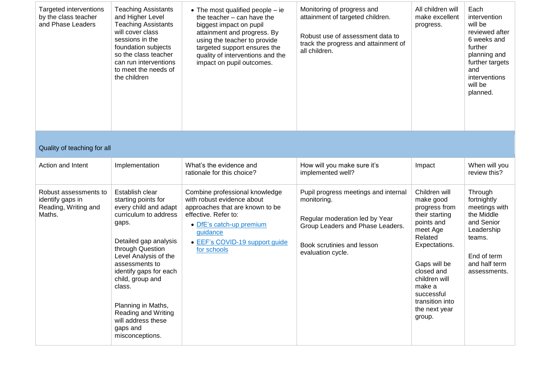| Targeted interventions<br>by the class teacher<br>and Phase Leaders         | <b>Teaching Assistants</b><br>and Higher Level<br><b>Teaching Assistants</b><br>will cover class<br>sessions in the<br>foundation subjects<br>so the class teacher<br>can run interventions<br>to meet the needs of<br>the children                                                                                                                 | • The most qualified people $-$ ie<br>the teacher - can have the<br>biggest impact on pupil<br>attainment and progress. By<br>using the teacher to provide<br>targeted support ensures the<br>quality of interventions and the<br>impact on pupil outcomes. | Monitoring of progress and<br>attainment of targeted children.<br>Robust use of assessment data to<br>track the progress and attainment of<br>all children.                  | All children will<br>make excellent<br>progress.                                                                                                                                                                                         | Each<br>intervention<br>will be<br>reviewed after<br>6 weeks and<br>further<br>planning and<br>further targets<br>and<br>interventions<br>will be<br>planned. |  |  |
|-----------------------------------------------------------------------------|-----------------------------------------------------------------------------------------------------------------------------------------------------------------------------------------------------------------------------------------------------------------------------------------------------------------------------------------------------|-------------------------------------------------------------------------------------------------------------------------------------------------------------------------------------------------------------------------------------------------------------|------------------------------------------------------------------------------------------------------------------------------------------------------------------------------|------------------------------------------------------------------------------------------------------------------------------------------------------------------------------------------------------------------------------------------|---------------------------------------------------------------------------------------------------------------------------------------------------------------|--|--|
| Quality of teaching for all                                                 |                                                                                                                                                                                                                                                                                                                                                     |                                                                                                                                                                                                                                                             |                                                                                                                                                                              |                                                                                                                                                                                                                                          |                                                                                                                                                               |  |  |
| Action and Intent                                                           | Implementation                                                                                                                                                                                                                                                                                                                                      | What's the evidence and<br>rationale for this choice?                                                                                                                                                                                                       | How will you make sure it's<br>implemented well?                                                                                                                             | Impact                                                                                                                                                                                                                                   | When will you<br>review this?                                                                                                                                 |  |  |
| Robust assessments to<br>identify gaps in<br>Reading, Writing and<br>Maths. | Establish clear<br>starting points for<br>every child and adapt<br>curriculum to address<br>gaps.<br>Detailed gap analysis<br>through Question<br>Level Analysis of the<br>assessments to<br>identify gaps for each<br>child, group and<br>class.<br>Planning in Maths,<br>Reading and Writing<br>will address these<br>gaps and<br>misconceptions. | Combine professional knowledge<br>with robust evidence about<br>approaches that are known to be<br>effective. Refer to:<br>• DfE's catch-up premium<br>guidance<br>• EEF's COVID-19 support guide<br>for schools                                            | Pupil progress meetings and internal<br>monitoring.<br>Regular moderation led by Year<br>Group Leaders and Phase Leaders.<br>Book scrutinies and lesson<br>evaluation cycle. | Children will<br>make good<br>progress from<br>their starting<br>points and<br>meet Age<br>Related<br>Expectations.<br>Gaps will be<br>closed and<br>children will<br>make a<br>successful<br>transition into<br>the next year<br>group. | Through<br>fortnightly<br>meetings with<br>the Middle<br>and Senior<br>Leadership<br>teams.<br>End of term<br>and half term<br>assessments.                   |  |  |